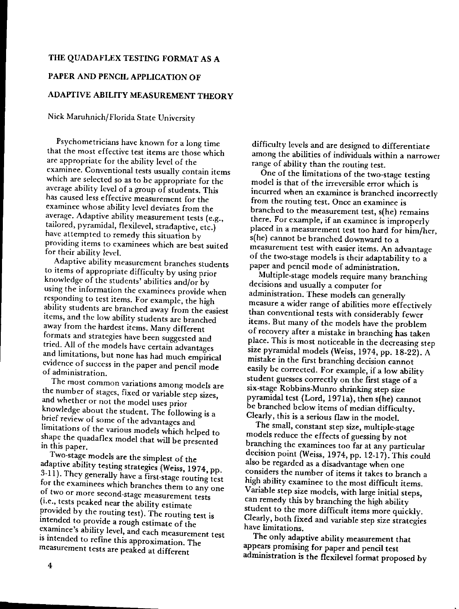# THE QUADAFLEX TESTING FORMAT AS A

# PAPER AND PENCIL APPLICATION OF

# ADAPTIVE ABILITY MEASUREMENT THEORY

Nick Maruhnich/Florida State University

Psychometricians have known for a long time that the most effective test items are those which are appropriate for the ability level of the **examinee. Conventional tests usually contain items** which are selected so as to be appropriate for the average ability level of a group of students. This has caused less effective measurement for the examinee whose ability level deviates from the average. Adaptive ability measurement tests (e.g., tailored, pyramidal, flexilevel, stradaptive, etc.) have attempted to remedy this situation by **providing items to examinees which are best suited** for their ability level.

Adaptive ability measurement branches students to items of appropriate difficulty by using prior knowledge of the students' abilities and/or by **using the information the examinees provide when** responding to test items. For example, the high ability students are branched away from the easiest items, and the low ability students are branched away from the hardest items. Many different formats and strategies have been suggested and tried. All of the models have certain advantages and limitations, but none has had much empirical evidence of success in the paper and pencil mode **of administration.**

**The most common variations among models are the number of stages, fixed or variable step sizes,** and whether or not the model uses prior knowledge about the student. The following is a brief review of some of the advantages and limitations of the various models which helped to shape the quadaflex model that will be presented in this paper.

Two-stage models are the simplest of the adaptive ability testing strategies (Weiss, 1974, pp. 3-11). They generally have a first-stage routing test for the examinees which branches them to any one **of two or more second-stage measurement tests** (i.e., tests peaked near the ability estimate provided by the routing test). The routing test is intended to provide a rough estimate of the **examinee's ability level, and each measurement test** is intended to refine this approximation. The measurement tests are peaked at different

difficulty levels and are designed to differentiate among the abilities of individuals within a narrower range of ability than the routing test.

One of the limitations of the two-stage testing model is that of the irreversible error which is **incurred when an examinee is branched incorrectly from the routing test. Once an examinee is** branched to the measurement test, s(he) remains **there. For example, if an examinee is improperly** placed in a measurement test too hard for him/her, s(he) cannot be branched downward to a **measurement test with easier items. An advantage** of the two-stage models is their adaptability to a paper and pencil mode of administration.

Multiple-stage models require many branching decisions and usually a computer for administration. These models can generally measure a wider range of abilities more effectively than conventional tests with considerably fewer items. But many of the models have the problem of recovery after a mistake in branching has taken place. This is most noticeable in the decreasing step size pyramidal models (Weiss, 1974, pp. 18-22). A mistake in the first branching decision cannot easily be corrected. For example, if a low ability student guesses correctly on the first stage of a six-stage Robbins-Munro shrinking step size pyramidal test (Lord, 1971a), then s(he) cannot be branched below items of median difficulty. Clearly, this is a serious flaw in the model.

The small, constant step size, multiple-stage models reduce the effects of guessing by not branching the examinees too far at any particular decision point (Weiss, 1974, pp. 12-17). This could also be regarded as a disadvantage when one considers the number of items it takes to branch a high ability examinee to the most difficult items. Variable step size models, with large initial steps, can remedy this by branching the high ability student to the more difficult items more quickly. Clearly, both fixed and variable step size strategies have limitations.

The only adaptive ability measurement that appears promising for paper and pencil test administration is the flexilevel format proposed by

**7**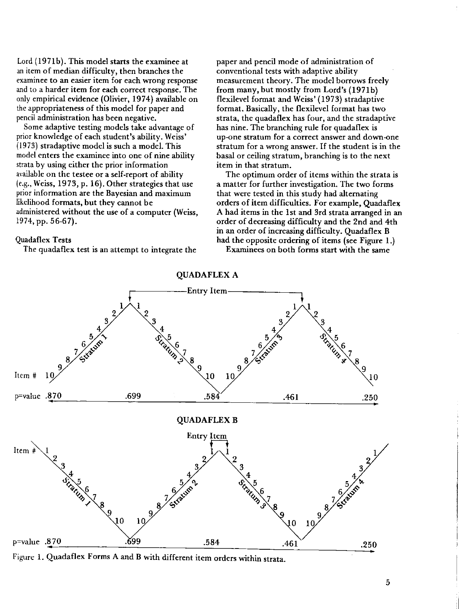Lord (1971b). This model starts the examinee at an item 0f median difficulty, then branches the **examinee to an easier item for each wrong response** and to a harder item for each correct response. The only empirical evidence (Olivier, 1974) available on the appropriateness of this model for paper and pencil administration has been negative.

Some adaptive testing models take advantage of prior knowledge of each student's ability. Weiss' (1973) stradaptive model is such a model. This model enters the examinee into one of nine ability strata by using either the prior information available on the testee or a self-report of ability (e.g., Weiss, 1973, p. 16). Other strategies that use **prior information are the Bayesian and maximum** likelihood formats, but they cannot be administered without the use of a computer (Weiss, 1974, pp. 56-67).

#### Quadaflex Tests

The quadaflex test is an attempt to integrate the

paper and pencil mode of administration of conventional tests with adaptive ability measurement theory. The model borrows freely from many, but mostly from Lord's (1971b) flexilevel format and Weiss' (1973) stradaptive format. Basically, the flexilevel format has two strata, the quadafiex has four, and the stradaptive has nine. The branching rule for quadafiex is **up-one stratum for a correct answer and down-one** stratum for a wrong answer. If the student is in the basal or ceiling stratum, branching is to the next **item in that stratum.**

The optimum order of items within the strata is a matter for further investigation. The two forms that were tested in this study had alternating orders of item difficulties. For example, Quadafiex A had items in the 1st and 3rd strata arranged in an order of decreasing difficulty and the 2nd and 4th in an order of increasing difficulty. Quadafiex B had the opposite ordering of items (see Figure 1.)

Examinees on both forms start with the same



Figure 1. Quadaflex Forms A and B with different item orders within strata.

**OUADAFLEX A**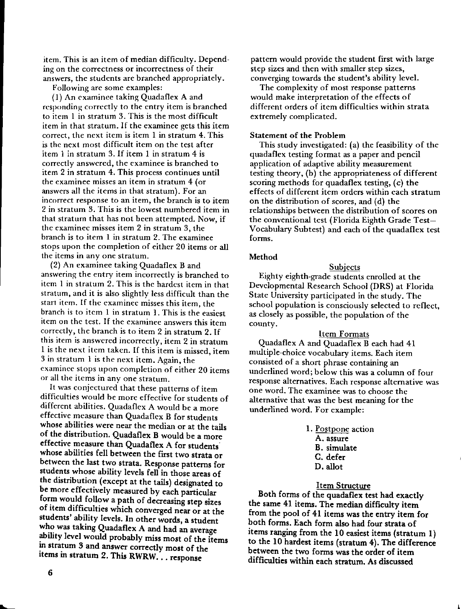item. This is an item of median difficulty. Depend**ing on the correctness or incorrectness of their** answers, the students are branched appropriately.

Following are some examples:

(1) An examinee taking Quadaflex A and responding correctly to the entry item is branched to item 1 in stratum 3. This is the most difficult item in that stratum. If the examinee gets this item **correct, the next item is item 1 in stratum 4. This** is the next most difficult item on the test after item  $1$  in stratum  $3$ . If item  $1$  in stratum  $4$  is **correctly answered, the examinee is branched to** item 2 in stratum 4. This process continues until **the examinee misses an item in stratum 4 (or** answers all the items in that stratum). For an **incorrect response to an item, the branch is to item 2 in stratum 3. This is the lowest numbered item in** that stratum that has not been attempted. Now, if **the examinee misses item 2 in stratum 3, the branch is to item 1 in stratum 2. The examinee** stops upon the completion of either 20 items or all **the items in anyone stratum.**

(2) An examinee taking Quadaflex Band answering the entry item incorrectly is branched to item 1 in stratum 2. This is the hardest item in that stratum, and it is also slightly less difficult than the **start item. If the examinee misses this item, the** branch is to item 1 in stratum 1. This is the easiest item on the test. If the examinee answers this item correctly, the branch is to item 2 in stratum 2.lf **this item is answered incorrectly, item 2 in stratum** 1 is the next item taken. If this item is missed, item 3 in stratum 1 is the next item. Again, the examinee stops upon completion of either 20 items **or all the items in anyone stratum.**

It was conjectured that these patterns of item difficulties would be more effective for students of different abilities. Quadaflex A would be a more effective measure than Quadaflex B for students whose abilities were near the median or at the tails of the distribution. Quadaflex B would be a more effective measure than Quadaflex A for studentswhose abilities fell between the first two strata or between the last two strata. Response patterns for students whose ability levels fell in those areas of the distribution (except at the tails) designated to be more effectively measured by each particular form would follow a path of decreasing step sizes of item difficulties which converged near or at the students' ability levels. In other words, a student who was taking Quadaflex A and had an average ability level would probably miss most of the items in stratum 3 and answer correctly most of the items in stratum 2. This RWRW... response

pattern would provide the student first with large step sizes and then with smaller step sizes, converging towards the student's ability level.

The complexity of most response patterns would make interpretation of the effects of different orders of item difficulties within strata extremely complicated.

### Statement of the Problem

This study investigated: (a) the feasibility of the quadaflex testing format as a paper and pencil application of adaptive ability measurement testing theory, (b) the appropriateness of different scoring methods for quadaflex testing, (c) the effects of different item orders within each stratum on the distribution of scores, and (d) the relationships between the distribution of scores on the conventional test (Florida Eighth Grade Test-Vocabulary Subtest) and each of the quadaflex test forms.

### Method

### Subjects Eighty eighth-grade students enrolled at the Developmental Research School (DRS) at Florida State University participated in the study. The school population is consciously selected to reflect, as elosely as possible, the population of the county.

#### Item Formats

Quadaflex A and Quadaflex B each had 41 multiple-choice vocabulary items. Each item consisted of a short phrase containing an underlined word; below this was a column of four **response alternatives. Each response alternative was one word. The examinee was to choose the** alternative that was the best meaning for the underlined word. For example:

> 1. Postpone action A. assure B. simulate C. defer D. allot

## Item Structure

Both forms of the quadaflex test had exactly the same 41 items. The median difficulty item from the pool of 41 items was the entry item for both forms. Each form also had four strata of items ranging from the 10 easiest items (stratum 1) to the 10 hardest items (stratum 4). The difference between the two forms was the order of item difficulties within each stratum. As discussed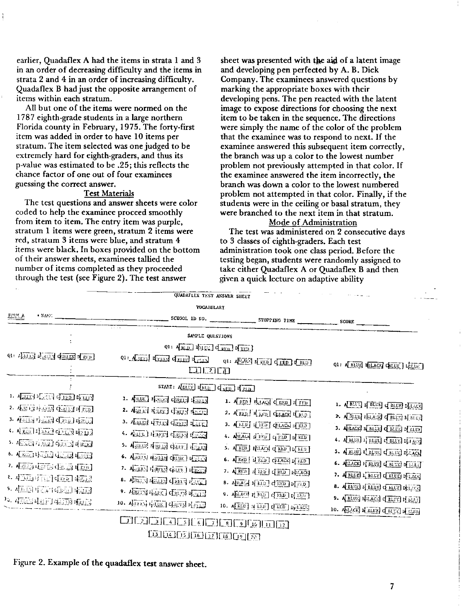earlier, Quadaflex A had the items in strata 1 and 3 in an order of decreasing difficulty and the items in strata 2 and 4 in an order of increasing difficulty. Quadaflex B had just the opposite arrangement of items within each stratum.

All but one of the items were normed on the 1787 eighth-grade students in a large northern Florida county in February, 1975. The forty-first item was added in order to have 10 items per stratum. The item selected was one judged to be extremely hard for eighth-graders, and thus its p-value was estimated to be .25; this reflects the chance factor of one out of four examinees guessing the correct answer.

#### Test Materials

The test questions and answer sheets were color coded to help the examinee proceed smoothly from item to item. The entry item was purple, **stratum 1 items were green, stratum 2 items were red, stratum 3 items were blue, and stratum 4** items were black. In boxes provided on the bottom of their answer sheets, examinees tallied the number of items completed as they proceeded through the test (see Figure 2). The test answer

sheet was presented with the aid of a latent image and developing pen perfected by A. B. Dick Company. The examinees answered questions by marking the appropriate boxes with their developing pens. The pen reacted with the latent image to expose directions for choosing the next item to be taken in the sequence. The directions were simply the name of the color of the problem that the examinee was to respond to next. If the **examinee answered this subsequent item correctly,** the branch was up a color to the lowest number problem not previously attempted in that color. If the examinee answered the item incorrectly, the branch was down a color to the lowest numbered problem not attempted in that color. Finally, if the students were in the ceiling or basal stratum, they were branched to the next item in that stratum.

#### Mode of Administration

The test was administered on 2 consecutive days to 3 classes of eighth-graders. Each test administration took one class period. Before the testing began, students were randomly assigned to take either Quadaflex A or Quadaflex B and then given a quick lecture on adaptive ability

|                                             | QUADAFLEX TEST ANSWER SHEET                                                                                                                                                                                                                                                                                                                                                                                                                                                  |                                                                     |                                  |
|---------------------------------------------|------------------------------------------------------------------------------------------------------------------------------------------------------------------------------------------------------------------------------------------------------------------------------------------------------------------------------------------------------------------------------------------------------------------------------------------------------------------------------|---------------------------------------------------------------------|----------------------------------|
|                                             | <b>VOCABULARY</b>                                                                                                                                                                                                                                                                                                                                                                                                                                                            |                                                                     |                                  |
| $\underline{\text{new}}$<br>$\bullet$ MANE. |                                                                                                                                                                                                                                                                                                                                                                                                                                                                              | SCHOOL ID NO. SUPPING TIME                                          | SCORE                            |
|                                             | SAMPLE QUESTIONS                                                                                                                                                                                                                                                                                                                                                                                                                                                             |                                                                     |                                  |
|                                             | Q1: ARD BUILD CRED DIRED                                                                                                                                                                                                                                                                                                                                                                                                                                                     |                                                                     |                                  |
| Q1: ALKELS PLATTY COREER DERED              | Q1: AREEN PURENT CLEARED IN THE R<br>口口印                                                                                                                                                                                                                                                                                                                                                                                                                                     | Q1: A LACT D RED Q RED D RED                                        | Q1: A BLUE 15LACK CELUE ] LOCAL  |
|                                             |                                                                                                                                                                                                                                                                                                                                                                                                                                                                              |                                                                     |                                  |
|                                             | START: ABLUE BEED GUED H RID                                                                                                                                                                                                                                                                                                                                                                                                                                                 |                                                                     |                                  |
| 1. ACKER ELECTRIC PRED DECEPT               | 1. ALLUE PERSEN CEREUN LETTER                                                                                                                                                                                                                                                                                                                                                                                                                                                | 1. A RED BOLACH C RED R FED                                         |                                  |
| 2. AESIE FAFER CEREE DURIN                  | 2. ARRENT RELEASE CROSSER PERSON                                                                                                                                                                                                                                                                                                                                                                                                                                             | 2. A FED. H RED. CELACK IL RUD.                                     | 1. A BLUI DELUE OF BLUE DELACTS  |
| 3. ALBEN WARD CLEED DEED                    | 3. ARLEN HELEN CHEEN REALLY                                                                                                                                                                                                                                                                                                                                                                                                                                                  | 3. A BID I HED GEACH DEED                                           | 2. A BLUE FRACE CELUI MELLER     |
| 4. AREA LEED CHEN DELL'S                    | 4. ALLEL HERE: CALLER CONTROL                                                                                                                                                                                                                                                                                                                                                                                                                                                | 4. ASSACH SCREET GREET DI REED                                      | 3. AFRACK B BLUE O BLUE D'ELUE   |
| 5. 4 英国方面21 中国国内部                           | 5. ARRES PERSIES CALCE   4 ROLES                                                                                                                                                                                                                                                                                                                                                                                                                                             |                                                                     | 4. A BLUE DI BLUE CLELLE ELIACE  |
| 6. A REAL PRESS CREEK MERCENT               | 6. AEREPA PARKEN CHUE PLEAN                                                                                                                                                                                                                                                                                                                                                                                                                                                  | 5. A RED PELACH C RED D LED                                         | 5. A BLUE L'ELUE d'ELUE DELACN   |
| 7. 4-45 45 5 4 5 4 15 1                     |                                                                                                                                                                                                                                                                                                                                                                                                                                                                              | 6. ARED   LEED   CHACK D HID                                        | 6. ALLACK PIELUE CHILLE DILLET   |
| 8. 小豆可有三个豆口吃豆                               | 7. ALGERS READERS CHUTE ] READERS                                                                                                                                                                                                                                                                                                                                                                                                                                            | 7. ARED RED CRED DURAN                                              | 7. A BLUE E BLUE C BLUE DELACK   |
| 9. 本面科学工作运用库温度                              | 8. ARRIVE PERSON CHARACTER PERSON                                                                                                                                                                                                                                                                                                                                                                                                                                            | 8. ABLACA NELD CEED DIED                                            | 8. ABDE RELUE CELUE DELAND       |
|                                             | 9. ABRITISH HALLEY CHARTER DESCRIPTION                                                                                                                                                                                                                                                                                                                                                                                                                                       | 9. ADLACT $r(\overline{ED})$ of $\overline{RED}$ $p(\overline{ED})$ | 9. A BLUE PRILACE Q BLUE PARTIES |
|                                             | 10. $\Lambda$ FIFEN $t_1$ JUE GRUN PLILE                                                                                                                                                                                                                                                                                                                                                                                                                                     | 10. A RED 3 RED C RED DALACE                                        | 10. ALLACK R BLUE C BLUE DI BLUE |
|                                             | $\boxed{ \hspace{1.5cm} \square \hspace{1.5cm} \square \hspace{1.5cm} \square \hspace{1.5cm} \square \hspace{1.5cm} \square \hspace{1.5cm} \square \hspace{1.5cm} \square \hspace{1.5cm} \square \hspace{1.5cm} \square \hspace{1.5cm} \square \hspace{1.5cm} \square \hspace{1.5cm} \square \hspace{1.5cm} \square \hspace{1.5cm} \square \hspace{1.5cm} \square \hspace{1.5cm} \square \hspace{1.5cm} \square \hspace{1.5cm} \square \hspace{1.5cm} \square \hspace{1.5cm$ |                                                                     |                                  |
|                                             | filling them are a common                                                                                                                                                                                                                                                                                                                                                                                                                                                    |                                                                     |                                  |

13 | 14 | 15 | 16 | 17 | 18 | 19 | 19 |

Figure 2. Example of the quadaflex test answer sheet.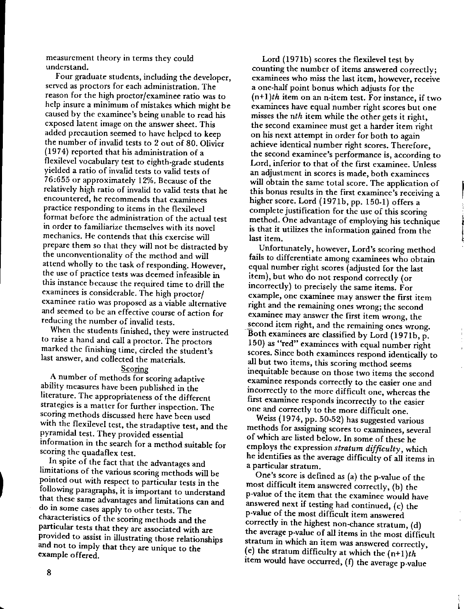measurement theory in terms they could understand.

Four graduate students, including the developer, served as proctors for each administration. The reason for the high proctor/examinee ratio was to help insure a minimum of mistakes which might be caused by the examinee's being unable to read his exposed latent image on the answer sheet. This added precaution seemed to have helped to keep the number of invalid tests to 2 out of 80. Olivier (1974) reported that his administration of a flexilevel vocabulary test to eighth-grade students yielded a ratio of invalid tests to valid tests of 76:655 or approximately 12%. Because of the relatively high ratio of invalid to valid tests that he **encountered, he recommends that examinees** practice responding to items in the flexilevel format before the administration of the actual test **in order to familiarize themselves with its novel** mechanics. He contends that this exercise will prepare them so that they will not be distracted by the unconventionality of the method and will attend wholly to the task of responding. However, the use of practice tests was deemed infeasible in this instance because the required time to drill the examinees is considerable. The high proctor/ **examinee ratio was proposed as a viable alternative** and seemed to bc an effective course of action for reducing the number of invalid tests.

When the students finished, they were instructed to raise a hand and call a proctor. The proctors marked the finishing time, circled the student's last answer, and collected the materials.

#### **Scoring**

A number of methods for scoring adaptive ability measures have been published in the literature. The appropriateness of the different strategies is a matter for further inspection. The scoring methods discussed here have been used with the flexilevel test, the stradaptive test, and the pyramidal test. They provided essential information in the search for a method suitable for scoring the quadaflex test.

In spite of the fact that the advantages and limitations of the various scoring methods will be pointed out with respect to particular tests in the following paragraphs, it is important to understand that these same advantages and limitations can and do in some cases apply to other tests. The characteristics of the scoring methods and the particular tests that they are associated with are provided to assist in illustrating those relationships and not to imply that they are unique to the example offered.

Lord (1971b) scores the flexilevel test by **counting the number of items answered correctly; examinees who miss the last item, however, receive** a one-half point bonus which adjusts for the *(n+l)th* item on an n-item test. For instance, if two examinees have equal number right scores but one misses the *nth* item while the other gets it right, the second examinee must get a harder item right on his next attempt in order for both to again achieve identical number right scores. Therefore, **the second examinee's performance is, according to** Lord, inferior to that of the first examinee. Unless **an adjustment in scores is made, both examinees** will obtain the same total score. The application of **this bonus results in the first examinee's receiving a** higher score. Lord (1971b, pp. 150-1) offers a complete justification for the use of this scoring method. One advantage of employing his technique is that it utilizes the information gained from the last item.

**Unfortunately, however, Lord's scoring method** fails to differentiate among examinees who obtain equal number right scores (adjusted for the last item), but who do not respond correctly (or incorrectly) to precisely the same items. For **example, one examinee may answer the first item** right and the remaining ones wrong; the second **examinee may answer the first item wrong, the** second item right, and the remaining ones wrong. Both examinees are classified by Lord (1971b, p. 150) as "red" examinees with equal number right scores. Since both examinees respond identically to all but two items, this scoring method seems inequitable because on those two items the second **examinee responds correctly to the easier one and** incorrectly to the more difficult one, whereas the **first examinee responds incorrectly to the easier** one and correctly to the more difficult one.

Weiss(1974, pp. 50.52) has suggested various **methods for assigning scores to examinees, several** of which are listed below. In some of these he employs the expression *stratum difficulty,* which he identifies as the average difficulty of all items in **a particular stratum.**

One's score is defined as (a) the p-vaIue of the most difficult item answered correctly, (b) the p-vaIue of the item that the examinee would have answered next if testing had continued, (c) the p-value of the most difficult item answered correctly in the highest non-chance stratum, (d) the average p-value of all items in the most difficult **stratum in which an item was answered correctly,** (e) the stratum difficulty at which the *(n+l)th* item would have occurred, (f) the average p-value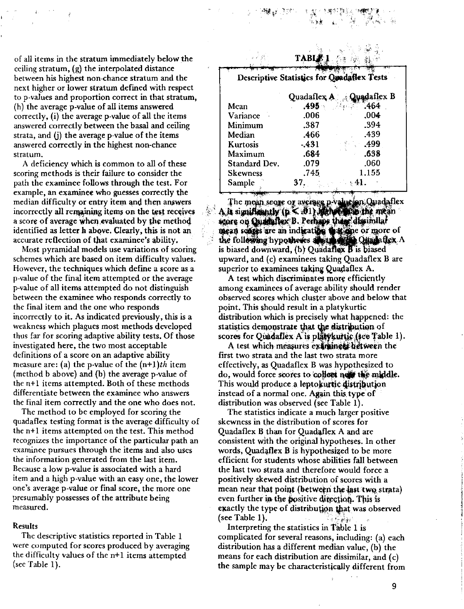of all items in the stratum immediately below the ceiling stratum, (g) the interpolated distance between his highest non-chance stratum and the next higher or lower stratum defined with respect to p-values and proportion correct in that stratum, (h) the average p-value of all items answered correctly, (i) the average p-value of all the items answered correctly between the basal and ceiling strata, and (j) the average p-value of the items answered correctly in the highest non-chance **stratum.**

A deficiency which is common to all of these scoring methods is their failure to consider the path the examinee follows through the test. For example, an examinee who guesses correctly the median difficulty or entry item and then answers incorrectly all remaining items on the test receives a score of average when evaluated by the method identified as letter h above. Clearly, this is not an accurate reflection of that examinee's ability.

Most pyramidal models use variations of scoring schemes which are based on item difficulty values. However, the techniques which define a score as a p-value of the final item attempted or the average p-value of all items attempted do not distinguish between the examinee who responds correctly to the final item and the one who responds incorrectly to it. As indicated previously, this is a weakness which plagues most methods developed thus far for scoring adaptive ability tests. Of those investigated here, the two most acceptable definitions of a score on an adaptive ability measure are: (a) the p-value of the  $(n+1)th$  item (method b above) and (b) the average p-value of the  $n+1$  items attempted. Both of these methods differentiate between the examinee who answers the final item correctly and the one who does not.

The method to be employed for scoring the quadaflex testing format is the average difficulty of the n+1 items attempted on the test. This method recognizes the importance of the particular path an examinee pursues through the items and also uses the information generated from the last item. Because a low p-value is associated with a hard item and a high p-value with an easy one, the lower **one's average** p-vallJ~**or final score, the more one** presumably possesses of the attribute being **measured.**

#### Results

The descriptive statistics reported in Table 1 were computed for scores produced by averaging the difficulty values of the  $n+1$  items attempted (see Table 1).

Descriptive Statistics for Quadatlex Tests Quadaflex A... Quadaflex B.<br>.495. ... ... .495 Mean .495 't .'~1/'·' .464 . **Variance**  $.006$ .387 .394 **Minimum** Median .466 .439 *-.431 i'l* .499. Kurtosis **Maximum** .684 .638 Standard Dev. .079 .060 .745, 1.155 Skewness Sample 37. HI.

*, . "\Iv' "~"-* ,

, The mean score or average  $p$ -v. .::::: A it significantly  $(p \le 1)$ score on Quartaflex B. Perhaps these dissimilar *mean* scapes are an indication was are or more the following hypotheses we was a Quadatlex A is biased downward, (b) Quadaflex  $\overline{B}$  is biased upward, and (c) examinees taking Quadaflex B are superior to examinees taking Quadaflex A.

""~ .,,.,,0 '.~;;'

A test which discriminates more efficiently among examinees of average ability should render observed scores which cluster above and below that point. This should result in a platykurtic distribution which is precisely what happened: the statistics demonstrate that the distribution of scores for Quadaflex A is platykurtic (see Table 1).

A test which measures examinees hetween the first two strata and the last two strata more effectively, as Quadaflex B was hypothesized to do, would force scores to collect new the middle. This would produce a leptokurtic distribution instead of a normal one. Again this type of distribution was observed (see Table 1).

The statistics indicate a much larger positive skewness in the distribution of scores for Quadaflex B than for Quadaflex A and are consistent with the original hypotheses. In other words, Quadaflex B is hypothesized to be more efficient for students whose abilities fall between the last two strata and therefore would force a positively skewed distribution of scores with a mean near that point (between the last two strata) even further in the positive direction. This is exactly the type of distribution that was observed (see Table 1).

Interpreting the statistics in Table 1 is complicated for several reasons, including: (a) each distribution has a different median value, (b) the means for each distribution are dissimilar, and  $(c)$ the sample may be characteristically different from

*i ~*.f

9